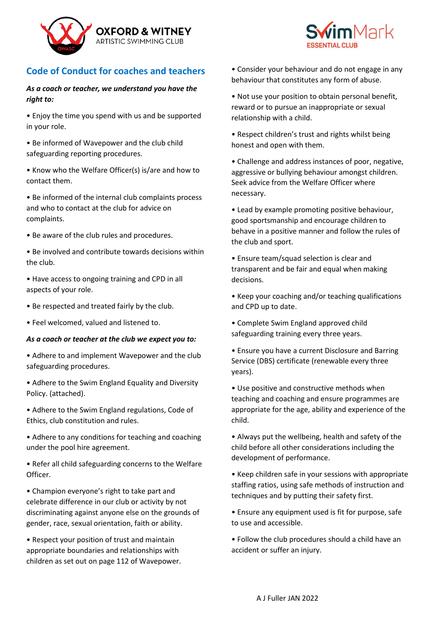



# **Code of Conduct for coaches and teachers**

## *As a coach or teacher, we understand you have the right to:*

- Enjoy the time you spend with us and be supported in your role.
- Be informed of Wavepower and the club child safeguarding reporting procedures.
- Know who the Welfare Officer(s) is/are and how to contact them.
- Be informed of the internal club complaints process and who to contact at the club for advice on complaints.
- Be aware of the club rules and procedures.
- Be involved and contribute towards decisions within the club.
- Have access to ongoing training and CPD in all aspects of your role.
- Be respected and treated fairly by the club.
- Feel welcomed, valued and listened to.

#### *As a coach or teacher at the club we expect you to:*

- Adhere to and implement Wavepower and the club safeguarding procedures.
- Adhere to the Swim England Equality and Diversity Policy. (attached).
- Adhere to the Swim England regulations, Code of Ethics, club constitution and rules.
- Adhere to any conditions for teaching and coaching under the pool hire agreement.
- Refer all child safeguarding concerns to the Welfare Officer.
- Champion everyone's right to take part and celebrate difference in our club or activity by not discriminating against anyone else on the grounds of gender, race, sexual orientation, faith or ability.
- Respect your position of trust and maintain appropriate boundaries and relationships with children as set out on page 112 of Wavepower.
- Consider your behaviour and do not engage in any behaviour that constitutes any form of abuse.
- Not use your position to obtain personal benefit, reward or to pursue an inappropriate or sexual relationship with a child.
- Respect children's trust and rights whilst being honest and open with them.
- Challenge and address instances of poor, negative, aggressive or bullying behaviour amongst children. Seek advice from the Welfare Officer where necessary.
- Lead by example promoting positive behaviour, good sportsmanship and encourage children to behave in a positive manner and follow the rules of the club and sport.
- Ensure team/squad selection is clear and transparent and be fair and equal when making decisions.
- Keep your coaching and/or teaching qualifications and CPD up to date.
- Complete Swim England approved child safeguarding training every three years.
- Ensure you have a current Disclosure and Barring Service (DBS) certificate (renewable every three years).
- Use positive and constructive methods when teaching and coaching and ensure programmes are appropriate for the age, ability and experience of the child.
- Always put the wellbeing, health and safety of the child before all other considerations including the development of performance.
- Keep children safe in your sessions with appropriate staffing ratios, using safe methods of instruction and techniques and by putting their safety first.
- Ensure any equipment used is fit for purpose, safe to use and accessible.
- Follow the club procedures should a child have an accident or suffer an injury.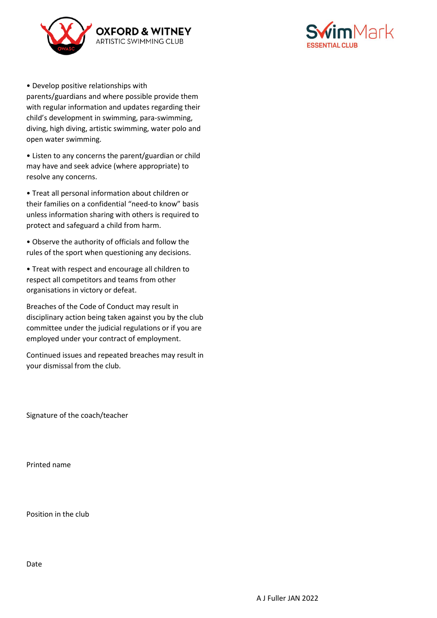



• Develop positive relationships with

parents/guardians and where possible provide them with regular information and updates regarding their child's development in swimming, para-swimming, diving, high diving, artistic swimming, water polo and open water swimming.

• Listen to any concerns the parent/guardian or child may have and seek advice (where appropriate) to resolve any concerns.

• Treat all personal information about children or their families on a confidential "need-to know" basis unless information sharing with others is required to protect and safeguard a child from harm.

• Observe the authority of officials and follow the rules of the sport when questioning any decisions.

• Treat with respect and encourage all children to respect all competitors and teams from other organisations in victory or defeat.

Breaches of the Code of Conduct may result in disciplinary action being taken against you by the club committee under the judicial regulations or if you are employed under your contract of employment.

Continued issues and repeated breaches may result in your dismissal from the club.

Signature of the coach/teacher

Printed name

Position in the club